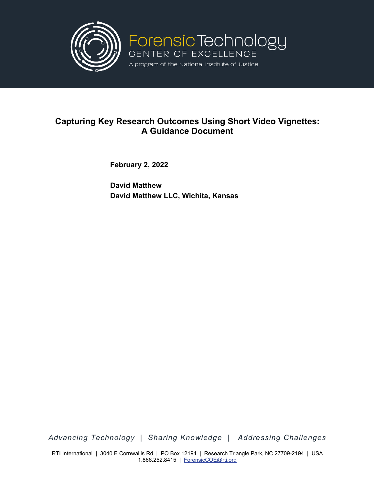

# **Capturing Key Research Outcomes Using Short Video Vignettes: A Guidance Document**

**February 2, 2022**

**David Matthew David Matthew LLC, Wichita, Kansas**

*Advancing Technology | Sharing Knowledge | Addressing Challenges*

RTI International | 3040 E Cornwallis Rd | PO Box 12194 | Research Triangle Park, NC 27709-2194 | USA 1.866.252.8415 | [ForensicCOE@rti.org](mailto:ForensicCOE@rti.org)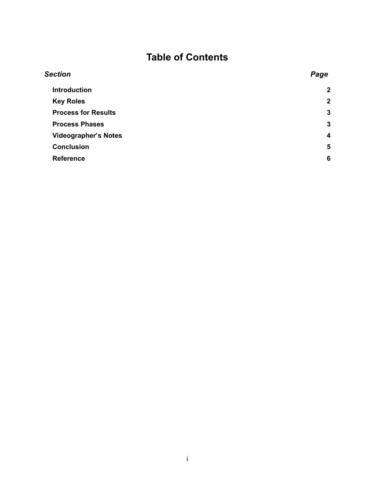# **Table of Contents**

| <b>Section</b>              | Page                    |
|-----------------------------|-------------------------|
| <b>Introduction</b>         | $\overline{2}$          |
| <b>Key Roles</b>            | $\boldsymbol{2}$        |
| <b>Process for Results</b>  | $\mathbf{3}$            |
| <b>Process Phases</b>       | $\mathbf{3}$            |
| <b>Videographer's Notes</b> | $\overline{\mathbf{4}}$ |
| <b>Conclusion</b>           | 5                       |
| <b>Reference</b>            | 6                       |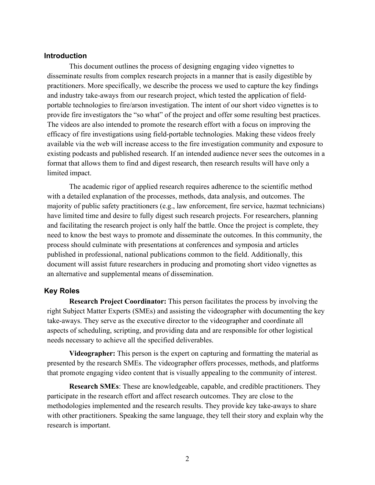## **Introduction**

This document outlines the process of designing engaging video vignettes to disseminate results from complex research projects in a manner that is easily digestible by practitioners. More specifically, we describe the process we used to capture the key findings and industry take-aways from our research project, which tested the application of fieldportable technologies to fire/arson investigation. The intent of our short video vignettes is to provide fire investigators the "so what" of the project and offer some resulting best practices. The videos are also intended to promote the research effort with a focus on improving the efficacy of fire investigations using field-portable technologies. Making these videos freely available via the web will increase access to the fire investigation community and exposure to existing podcasts and published research. If an intended audience never sees the outcomes in a format that allows them to find and digest research, then research results will have only a limited impact.

The academic rigor of applied research requires adherence to the scientific method with a detailed explanation of the processes, methods, data analysis, and outcomes. The majority of public safety practitioners (e.g., law enforcement, fire service, hazmat technicians) have limited time and desire to fully digest such research projects. For researchers, planning and facilitating the research project is only half the battle. Once the project is complete, they need to know the best ways to promote and disseminate the outcomes. In this community, the process should culminate with presentations at conferences and symposia and articles published in professional, national publications common to the field. Additionally, this document will assist future researchers in producing and promoting short video vignettes as an alternative and supplemental means of dissemination.

# **Key Roles**

**Research Project Coordinator:** This person facilitates the process by involving the right Subject Matter Experts (SMEs) and assisting the videographer with documenting the key take-aways. They serve as the executive director to the videographer and coordinate all aspects of scheduling, scripting, and providing data and are responsible for other logistical needs necessary to achieve all the specified deliverables.

**Videographer:** This person is the expert on capturing and formatting the material as presented by the research SMEs. The videographer offers processes, methods, and platforms that promote engaging video content that is visually appealing to the community of interest.

**Research SMEs**: These are knowledgeable, capable, and credible practitioners. They participate in the research effort and affect research outcomes. They are close to the methodologies implemented and the research results. They provide key take-aways to share with other practitioners. Speaking the same language, they tell their story and explain why the research is important.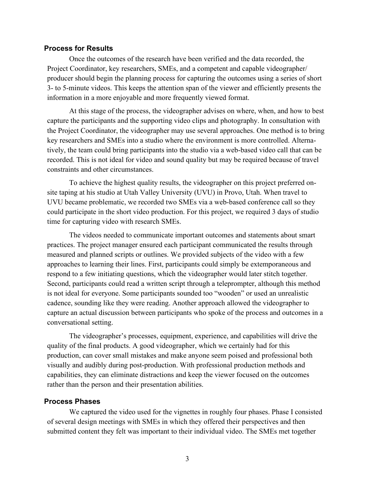#### **Process for Results**

Once the outcomes of the research have been verified and the data recorded, the Project Coordinator, key researchers, SMEs, and a competent and capable videographer/ producer should begin the planning process for capturing the outcomes using a series of short 3- to 5-minute videos. This keeps the attention span of the viewer and efficiently presents the information in a more enjoyable and more frequently viewed format.

At this stage of the process, the videographer advises on where, when, and how to best capture the participants and the supporting video clips and photography. In consultation with the Project Coordinator, the videographer may use several approaches. One method is to bring key researchers and SMEs into a studio where the environment is more controlled. Alternatively, the team could bring participants into the studio via a web-based video call that can be recorded. This is not ideal for video and sound quality but may be required because of travel constraints and other circumstances.

To achieve the highest quality results, the videographer on this project preferred onsite taping at his studio at Utah Valley University (UVU) in Provo, Utah. When travel to UVU became problematic, we recorded two SMEs via a web-based conference call so they could participate in the short video production. For this project, we required 3 days of studio time for capturing video with research SMEs.

The videos needed to communicate important outcomes and statements about smart practices. The project manager ensured each participant communicated the results through measured and planned scripts or outlines. We provided subjects of the video with a few approaches to learning their lines. First, participants could simply be extemporaneous and respond to a few initiating questions, which the videographer would later stitch together. Second, participants could read a written script through a teleprompter, although this method is not ideal for everyone. Some participants sounded too "wooden" or used an unrealistic cadence, sounding like they were reading. Another approach allowed the videographer to capture an actual discussion between participants who spoke of the process and outcomes in a conversational setting.

The videographer's processes, equipment, experience, and capabilities will drive the quality of the final products. A good videographer, which we certainly had for this production, can cover small mistakes and make anyone seem poised and professional both visually and audibly during post-production. With professional production methods and capabilities, they can eliminate distractions and keep the viewer focused on the outcomes rather than the person and their presentation abilities.

## **Process Phases**

We captured the video used for the vignettes in roughly four phases. Phase I consisted of several design meetings with SMEs in which they offered their perspectives and then submitted content they felt was important to their individual video. The SMEs met together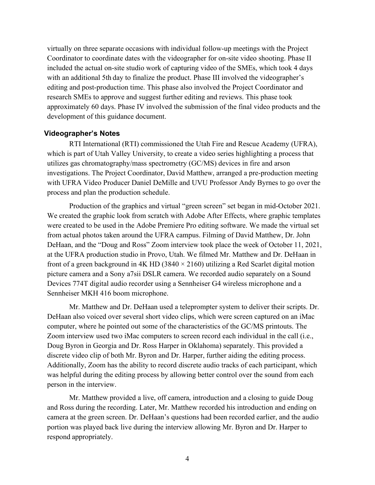virtually on three separate occasions with individual follow-up meetings with the Project Coordinator to coordinate dates with the videographer for on-site video shooting. Phase II included the actual on-site studio work of capturing video of the SMEs, which took 4 days with an additional 5th day to finalize the product. Phase III involved the videographer's editing and post-production time. This phase also involved the Project Coordinator and research SMEs to approve and suggest further editing and reviews. This phase took approximately 60 days. Phase IV involved the submission of the final video products and the development of this guidance document.

#### **Videographer's Notes**

RTI International (RTI) commissioned the Utah Fire and Rescue Academy (UFRA), which is part of Utah Valley University, to create a video series highlighting a process that utilizes gas chromatography/mass spectrometry (GC/MS) devices in fire and arson investigations. The Project Coordinator, David Matthew, arranged a pre-production meeting with UFRA Video Producer Daniel DeMille and UVU Professor Andy Byrnes to go over the process and plan the production schedule.

Production of the graphics and virtual "green screen" set began in mid-October 2021. We created the graphic look from scratch with Adobe After Effects, where graphic templates were created to be used in the Adobe Premiere Pro editing software. We made the virtual set from actual photos taken around the UFRA campus. Filming of David Matthew, Dr. John DeHaan, and the "Doug and Ross" Zoom interview took place the week of October 11, 2021, at the UFRA production studio in Provo, Utah. We filmed Mr. Matthew and Dr. DeHaan in front of a green background in 4K HD (3840  $\times$  2160) utilizing a Red Scarlet digital motion picture camera and a Sony a7sii DSLR camera. We recorded audio separately on a Sound Devices 774T digital audio recorder using a Sennheiser G4 wireless microphone and a Sennheiser MKH 416 boom microphone.

Mr. Matthew and Dr. DeHaan used a teleprompter system to deliver their scripts. Dr. DeHaan also voiced over several short video clips, which were screen captured on an iMac computer, where he pointed out some of the characteristics of the GC/MS printouts. The Zoom interview used two iMac computers to screen record each individual in the call (i.e., Doug Byron in Georgia and Dr. Ross Harper in Oklahoma) separately. This provided a discrete video clip of both Mr. Byron and Dr. Harper, further aiding the editing process. Additionally, Zoom has the ability to record discrete audio tracks of each participant, which was helpful during the editing process by allowing better control over the sound from each person in the interview.

Mr. Matthew provided a live, off camera, introduction and a closing to guide Doug and Ross during the recording. Later, Mr. Matthew recorded his introduction and ending on camera at the green screen. Dr. DeHaan's questions had been recorded earlier, and the audio portion was played back live during the interview allowing Mr. Byron and Dr. Harper to respond appropriately.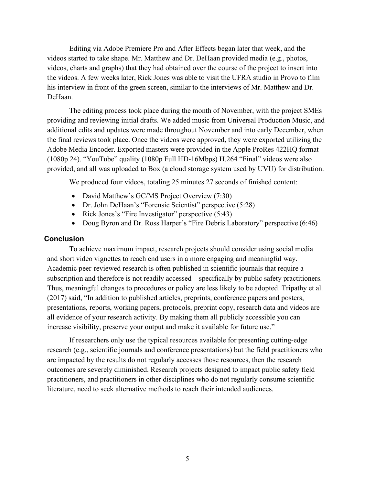Editing via Adobe Premiere Pro and After Effects began later that week, and the videos started to take shape. Mr. Matthew and Dr. DeHaan provided media (e.g., photos, videos, charts and graphs) that they had obtained over the course of the project to insert into the videos. A few weeks later, Rick Jones was able to visit the UFRA studio in Provo to film his interview in front of the green screen, similar to the interviews of Mr. Matthew and Dr. DeHaan.

The editing process took place during the month of November, with the project SMEs providing and reviewing initial drafts. We added music from Universal Production Music, and additional edits and updates were made throughout November and into early December, when the final reviews took place. Once the videos were approved, they were exported utilizing the Adobe Media Encoder. Exported masters were provided in the Apple ProRes 422HQ format (1080p 24). "YouTube" quality (1080p Full HD-16Mbps) H.264 "Final" videos were also provided, and all was uploaded to Box (a cloud storage system used by UVU) for distribution.

We produced four videos, totaling 25 minutes 27 seconds of finished content:

- David Matthew's GC/MS Project Overview (7:30)
- Dr. John DeHaan's "Forensic Scientist" perspective (5:28)
- Rick Jones's "Fire Investigator" perspective (5:43)
- Doug Byron and Dr. Ross Harper's "Fire Debris Laboratory" perspective (6:46)

# **Conclusion**

To achieve maximum impact, research projects should consider using social media and short video vignettes to reach end users in a more engaging and meaningful way. Academic peer-reviewed research is often published in scientific journals that require a subscription and therefore is not readily accessed—specifically by public safety practitioners. Thus, meaningful changes to procedures or policy are less likely to be adopted. Tripathy et al. (2017) said, "In addition to published articles, preprints, conference papers and posters, presentations, reports, working papers, protocols, preprint copy, research data and videos are all evidence of your research activity. By making them all publicly accessible you can increase visibility, preserve your output and make it available for future use."

If researchers only use the typical resources available for presenting cutting-edge research (e.g., scientific journals and conference presentations) but the field practitioners who are impacted by the results do not regularly accesses those resources, then the research outcomes are severely diminished. Research projects designed to impact public safety field practitioners, and practitioners in other disciplines who do not regularly consume scientific literature, need to seek alternative methods to reach their intended audiences.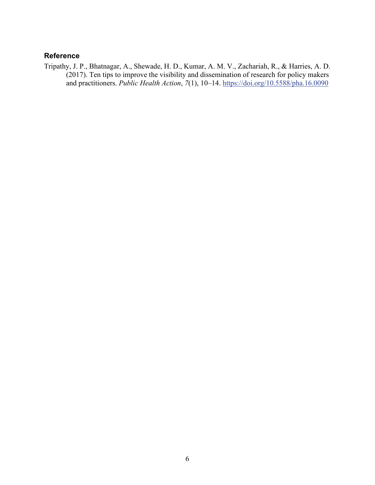# **Reference**

Tripathy, J. P., Bhatnagar, A., Shewade, H. D., Kumar, A. M. V., Zachariah, R., & Harries, A. D. (2017). Ten tips to improve the visibility and dissemination of research for policy makers and practitioners. *Public Health Action*, *7*(1), 10–14.<https://doi.org/10.5588/pha.16.0090>